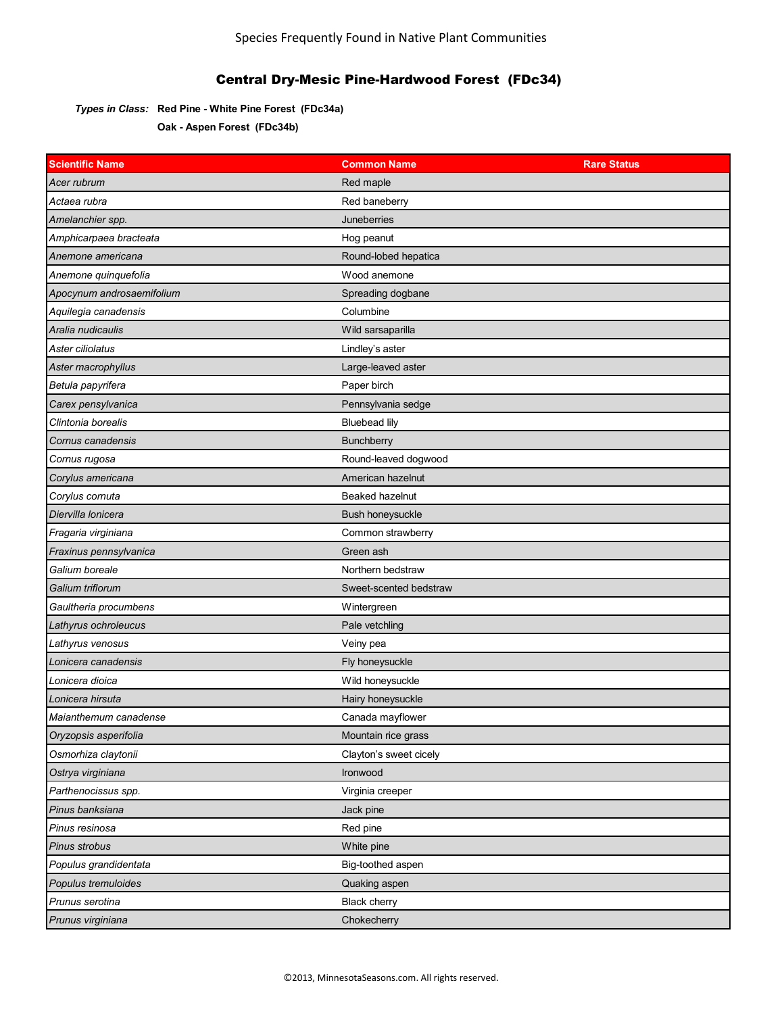### *Types in Class:* **Red Pine - White Pine Forest (FDc34a)**

**Oak - Aspen Forest (FDc34b)**

| <b>Scientific Name</b>    | <b>Common Name</b>      | <b>Rare Status</b> |
|---------------------------|-------------------------|--------------------|
| Acer rubrum               | Red maple               |                    |
| Actaea rubra              | Red baneberry           |                    |
| Amelanchier spp.          | Juneberries             |                    |
| Amphicarpaea bracteata    | Hog peanut              |                    |
| Anemone americana         | Round-lobed hepatica    |                    |
| Anemone quinquefolia      | Wood anemone            |                    |
| Apocynum androsaemifolium | Spreading dogbane       |                    |
| Aquilegia canadensis      | Columbine               |                    |
| Aralia nudicaulis         | Wild sarsaparilla       |                    |
| Aster ciliolatus          | Lindley's aster         |                    |
| Aster macrophyllus        | Large-leaved aster      |                    |
| Betula papyrifera         | Paper birch             |                    |
| Carex pensylvanica        | Pennsylvania sedge      |                    |
| Clintonia borealis        | <b>Bluebead lily</b>    |                    |
| Cornus canadensis         | Bunchberry              |                    |
| Cornus rugosa             | Round-leaved dogwood    |                    |
| Corylus americana         | American hazelnut       |                    |
| Corylus cornuta           | Beaked hazelnut         |                    |
| Diervilla lonicera        | <b>Bush honeysuckle</b> |                    |
| Fragaria virginiana       | Common strawberry       |                    |
| Fraxinus pennsylvanica    | Green ash               |                    |
| Galium boreale            | Northern bedstraw       |                    |
| Galium triflorum          | Sweet-scented bedstraw  |                    |
| Gaultheria procumbens     | Wintergreen             |                    |
| Lathyrus ochroleucus      | Pale vetchling          |                    |
| Lathyrus venosus          | Veiny pea               |                    |
| Lonicera canadensis       | Fly honeysuckle         |                    |
| Lonicera dioica           | Wild honeysuckle        |                    |
| Lonicera hirsuta          | Hairy honeysuckle       |                    |
| Maianthemum canadense     | Canada mayflower        |                    |
| Oryzopsis asperifolia     | Mountain rice grass     |                    |
| Osmorhiza claytonii       | Clayton's sweet cicely  |                    |
| Ostrya virginiana         | Ironwood                |                    |
| Parthenocissus spp.       | Virginia creeper        |                    |
| Pinus banksiana           | Jack pine               |                    |
| Pinus resinosa            | Red pine                |                    |
| Pinus strobus             | White pine              |                    |
| Populus grandidentata     | Big-toothed aspen       |                    |
| Populus tremuloides       | Quaking aspen           |                    |
| Prunus serotina           | <b>Black cherry</b>     |                    |
| Prunus virginiana         | Chokecherry             |                    |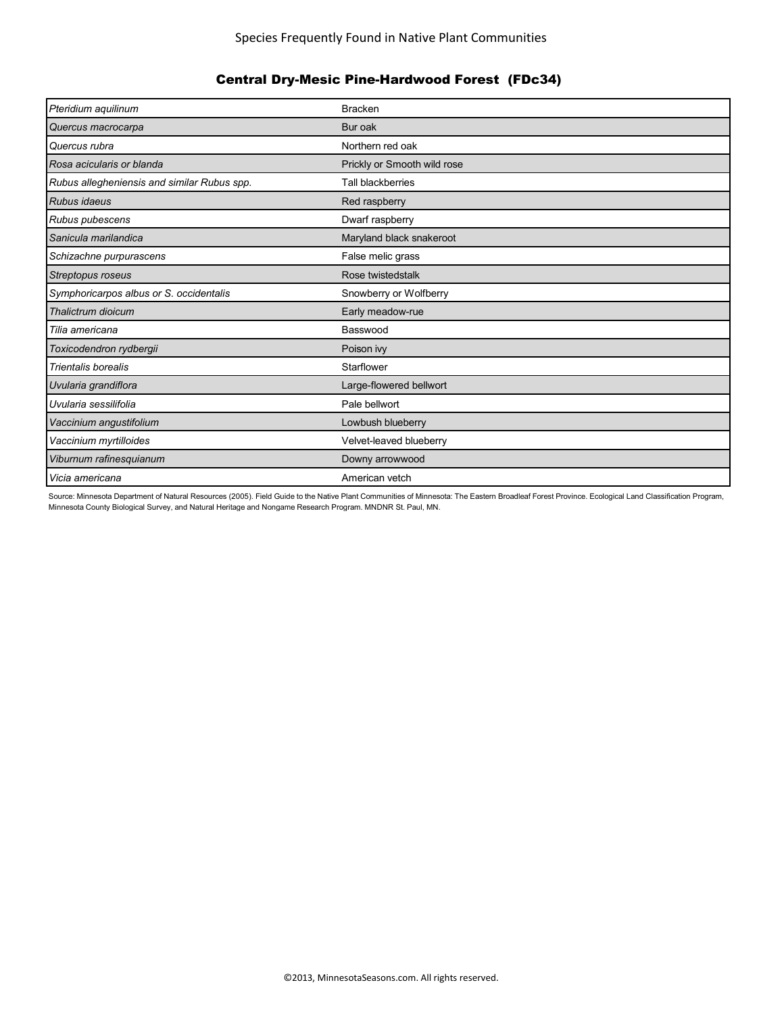| Pteridium aquilinum                         | <b>Bracken</b>              |
|---------------------------------------------|-----------------------------|
| Quercus macrocarpa                          | Bur oak                     |
| Quercus rubra                               | Northern red oak            |
| Rosa acicularis or blanda                   | Prickly or Smooth wild rose |
| Rubus allegheniensis and similar Rubus spp. | <b>Tall blackberries</b>    |
| <b>Rubus idaeus</b>                         | Red raspberry               |
| Rubus pubescens                             | Dwarf raspberry             |
| Sanicula marilandica                        | Maryland black snakeroot    |
| Schizachne purpurascens                     | False melic grass           |
| Streptopus roseus                           | Rose twistedstalk           |
| Symphoricarpos albus or S. occidentalis     | Snowberry or Wolfberry      |
| Thalictrum dioicum                          | Early meadow-rue            |
| Tilia americana                             | Basswood                    |
| Toxicodendron rydbergii                     | Poison ivy                  |
| <b>Trientalis borealis</b>                  | Starflower                  |
| Uvularia grandiflora                        | Large-flowered bellwort     |
| Uvularia sessilifolia                       | Pale bellwort               |
| Vaccinium angustifolium                     | Lowbush blueberry           |
| Vaccinium myrtilloides                      | Velvet-leaved blueberry     |
| Viburnum rafinesquianum                     | Downy arrowwood             |
| Vicia americana                             | American vetch              |

Source: Minnesota Department of Natural Resources (2005). Field Guide to the Native Plant Communities of Minnesota: The Eastern Broadleaf Forest Province. Ecological Land Classification Program, Minnesota County Biological Survey, and Natural Heritage and Nongame Research Program. MNDNR St. Paul, MN.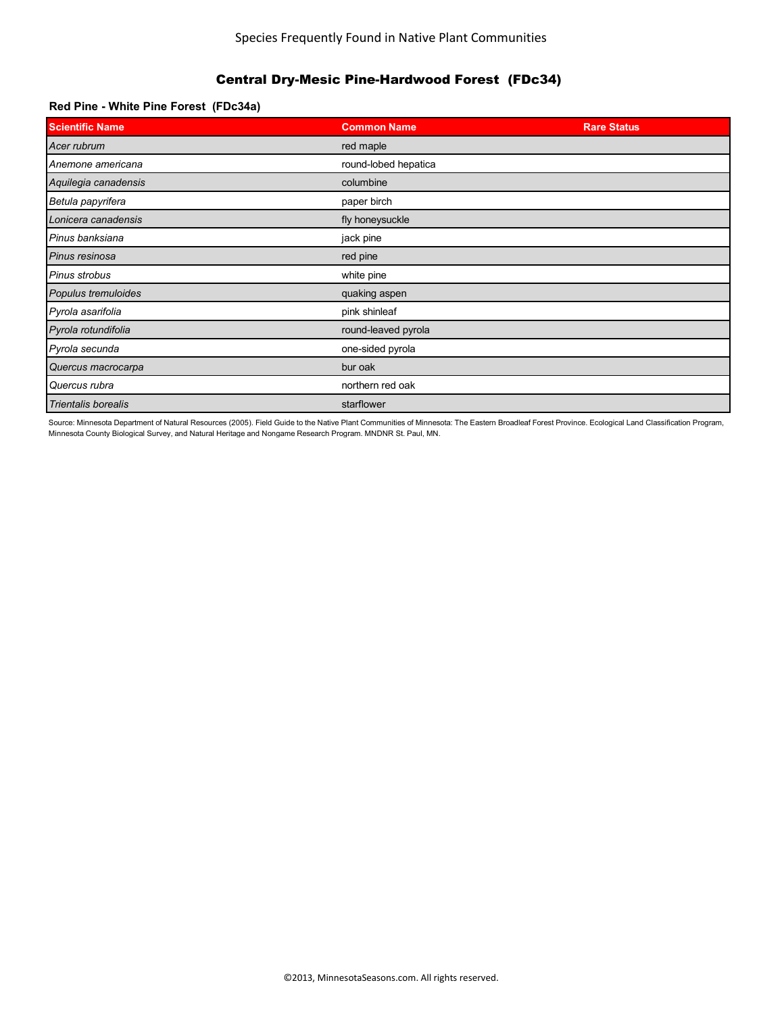### **Red Pine - White Pine Forest (FDc34a)**

| <b>Scientific Name</b> | <b>Common Name</b>   | <b>Rare Status</b> |
|------------------------|----------------------|--------------------|
| Acer rubrum            | red maple            |                    |
| Anemone americana      | round-lobed hepatica |                    |
| Aquilegia canadensis   | columbine            |                    |
| Betula papyrifera      | paper birch          |                    |
| Lonicera canadensis    | fly honeysuckle      |                    |
| Pinus banksiana        | jack pine            |                    |
| Pinus resinosa         | red pine             |                    |
| Pinus strobus          | white pine           |                    |
| Populus tremuloides    | quaking aspen        |                    |
| Pyrola asarifolia      | pink shinleaf        |                    |
| Pyrola rotundifolia    | round-leaved pyrola  |                    |
| Pyrola secunda         | one-sided pyrola     |                    |
| Quercus macrocarpa     | bur oak              |                    |
| Quercus rubra          | northern red oak     |                    |
| Trientalis borealis    | starflower           |                    |

Source: Minnesota Department of Natural Resources (2005). Field Guide to the Native Plant Communities of Minnesota: The Eastern Broadleaf Forest Province. Ecological Land Classification Program, Minnesota County Biological Survey, and Natural Heritage and Nongame Research Program. MNDNR St. Paul, MN.